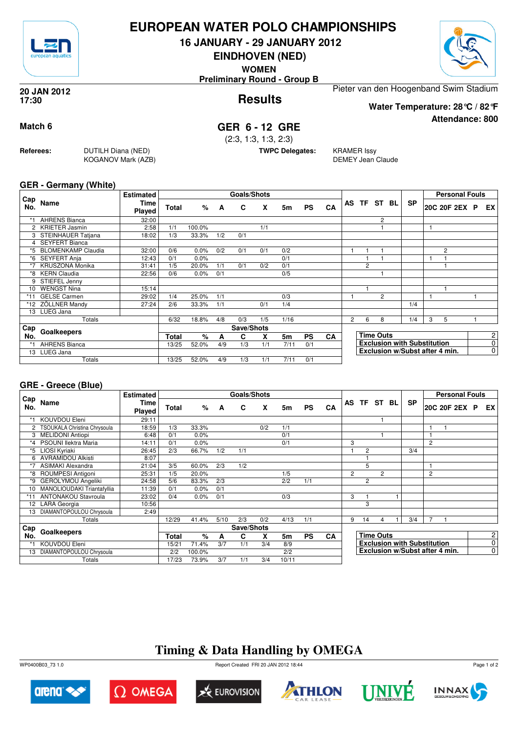

## **EUROPEAN WATER POLO CHAMPIONSHIPS**

**16 JANUARY - 29 JANUARY 2012**

**EINDHOVEN (NED)**

**WOMEN**

**Preliminary Round - Group B**



**Attendance: 800**

**Results 20 JAN 2012 17:30**

Pieter van den Hoogenband Swim Stadium

**Water Temperature: 28°C / 82°F**

### **Match 6 GER 6 - 12 GRE**

(2:3, 1:3, 1:3, 2:3)

**TWPC Delegates:** KRAMER Issy

DEMEY Jean Claude

#### **GER - Germany (White)**

**Referees:** DUTILH Diana (NED)

KOGANOV Mark (AZB)

|            |                        | <b>Estimated</b>      |              |        |     | <b>Goals/Shots</b> |     |      |           |           |                |   |                  |             |                                    |   | <b>Personal Fouls</b> |             |
|------------|------------------------|-----------------------|--------------|--------|-----|--------------------|-----|------|-----------|-----------|----------------|---|------------------|-------------|------------------------------------|---|-----------------------|-------------|
| Cap<br>No. | Name                   | <b>Time</b><br>Played | <b>Total</b> | %      | A   | C                  | X   | 5m   | <b>PS</b> | <b>CA</b> |                |   |                  | AS TF ST BL | <b>SP</b>                          |   | 20C 20F 2EX P         | EX          |
|            | <b>AHRENS Bianca</b>   | 32:00                 |              |        |     |                    |     |      |           |           |                |   | 2                |             |                                    |   |                       |             |
|            | 2 KRIETER Jasmin       | 2:58                  | 1/1          | 100.0% |     |                    | 1/1 |      |           |           |                |   |                  |             |                                    |   |                       |             |
|            | 3 STEINHAUER Tatjana   | 18:02                 | 1/3          | 33.3%  | 1/2 | 0/1                |     |      |           |           |                |   |                  |             |                                    |   |                       |             |
|            | 4 SEYFERT Bianca       |                       |              |        |     |                    |     |      |           |           |                |   |                  |             |                                    |   |                       |             |
|            | *5 BLOMENKAMP Claudia  | 32:00                 | 0/6          | 0.0%   | 0/2 | 0/1                | 0/1 | 0/2  |           |           |                |   |                  |             |                                    |   | 2                     |             |
|            | *6 SEYFERT Anja        | 12:43                 | 0/1          | 0.0%   |     |                    |     | 0/1  |           |           |                |   |                  |             |                                    |   |                       |             |
| $*7$       | <b>KRUSZONA Monika</b> | 31:41                 | 1/5          | 20.0%  | 1/1 | 0/1                | 0/2 | 0/1  |           |           |                | 2 |                  |             |                                    |   |                       |             |
| *8         | <b>KERN Claudia</b>    | 22:56                 | 0/6          | 0.0%   | 0/1 |                    |     | 0/5  |           |           |                |   |                  |             |                                    |   |                       |             |
|            | STIEFEL Jenny          |                       |              |        |     |                    |     |      |           |           |                |   |                  |             |                                    |   |                       |             |
| 10         | <b>WENGST Nina</b>     | 15:14                 |              |        |     |                    |     |      |           |           |                |   |                  |             |                                    |   |                       |             |
| $*11$      | <b>GELSE Carmen</b>    | 29:02                 | 1/4          | 25.0%  | 1/1 |                    |     | 0/3  |           |           |                |   | 2                |             |                                    | 1 |                       |             |
|            | *12 ZÖLLNER Mandy      | 27:24                 | 2/6          | 33.3%  | 1/1 |                    | 0/1 | 1/4  |           |           |                |   |                  |             | 1/4                                |   |                       |             |
|            | 13 LUEG Jana           |                       |              |        |     |                    |     |      |           |           |                |   |                  |             |                                    |   |                       |             |
|            | Totals                 |                       | 6/32         | 18.8%  | 4/8 | 0/3                | 1/5 | 1/16 |           |           | $\overline{2}$ | 6 | 8                |             | 1/4                                | 3 | 5                     |             |
| Cap        | Goalkeepers            |                       |              |        |     | Save/Shots         |     |      |           |           |                |   |                  |             |                                    |   |                       |             |
| No.        |                        |                       | <b>Total</b> | %      | A   | C                  | X   | 5m   | <b>PS</b> | <b>CA</b> |                |   | <b>Time Outs</b> |             |                                    |   |                       | 2           |
| $*1$       | <b>AHRENS Bianca</b>   |                       | 13/25        | 52.0%  | 4/9 | 1/3                | 1/1 | 7/11 | 0/1       |           |                |   |                  |             | <b>Exclusion with Substitution</b> |   |                       | 0           |
|            | 13 LUEG Jana           |                       |              |        |     |                    |     |      |           |           |                |   |                  |             | Exclusion w/Subst after 4 min.     |   |                       | $\mathbf 0$ |
|            | Totals                 |                       | 13/25        | 52.0%  | 4/9 | 1/3                | 1/1 | 7/11 | 0/1       |           |                |   |                  |             |                                    |   |                       |             |

#### **GRE - Greece (Blue)**

|            |                              | <b>Estimated</b>      |       |        |      | Goals/Shots |     |                |           |    |                |                  |                |  |                                    |                | <b>Personal Fouls</b> |                |
|------------|------------------------------|-----------------------|-------|--------|------|-------------|-----|----------------|-----------|----|----------------|------------------|----------------|--|------------------------------------|----------------|-----------------------|----------------|
| Cap<br>No. | Name                         | Time<br><b>Played</b> | Total | %      | A    | C           | X   | 5m             | <b>PS</b> | CA |                |                  | AS TF ST BL    |  | <b>SP</b>                          |                | 20C 20F 2EX P         | EX             |
|            | KOUVDOU Eleni                | 29:11                 |       |        |      |             |     |                |           |    |                |                  |                |  |                                    |                |                       |                |
|            | TSOUKALA Christina Chrysoula | 18:59                 | 1/3   | 33.3%  |      |             | 0/2 | 1/1            |           |    |                |                  |                |  |                                    | 1              |                       |                |
| 3          | <b>MELIDONI Antiopi</b>      | 6:48                  | 0/1   | 0.0%   |      |             |     | 0/1            |           |    |                |                  |                |  |                                    |                |                       |                |
|            | <b>PSOUNI llektra Maria</b>  | 14:11                 | 0/1   | 0.0%   |      |             |     | 0/1            |           |    | 3              |                  |                |  |                                    | $\overline{c}$ |                       |                |
| *5         | LIOSI Kyriaki                | 26:45                 | 2/3   | 66.7%  | 1/2  | 1/1         |     |                |           |    |                | $\overline{c}$   |                |  | 3/4                                |                |                       |                |
| 6          | <b>AVRAMIDOU Alkisti</b>     | 8:07                  |       |        |      |             |     |                |           |    |                |                  |                |  |                                    |                |                       |                |
| *7         | <b>ASIMAKI Alexandra</b>     | 21:04                 | 3/5   | 60.0%  | 2/3  | 1/2         |     |                |           |    |                | 5                |                |  |                                    | 1              |                       |                |
| *8         | ROUMPESI Antigoni            | 25:31                 | 1/5   | 20.0%  |      |             |     | 1/5            |           |    | $\overline{2}$ |                  | $\overline{c}$ |  |                                    | 2              |                       |                |
| *9         | <b>GEROLYMOU Angeliki</b>    | 24:58                 | 5/6   | 83.3%  | 2/3  |             |     | 2/2            | 1/1       |    |                | $\overline{2}$   |                |  |                                    |                |                       |                |
| 10         | MANOLIOUDAKI Triantafyllia   | 11:39                 | 0/1   | 0.0%   | 0/1  |             |     |                |           |    |                |                  |                |  |                                    |                |                       |                |
|            | <b>ANTONAKOU Stavroula</b>   | 23:02                 | 0/4   | 0.0%   | 0/1  |             |     | 0/3            |           |    | 3              |                  |                |  |                                    |                |                       |                |
|            | 12 LARA Georgia              | 10:56                 |       |        |      |             |     |                |           |    |                | 3                |                |  |                                    |                |                       |                |
| 13         | DIAMANTOPOULOU Chrysoula     | 2:49                  |       |        |      |             |     |                |           |    |                |                  |                |  |                                    |                |                       |                |
|            | Totals                       |                       | 12/29 | 41.4%  | 5/10 | 2/3         | 0/2 | 4/13           | 1/1       |    | 9              | 14               | 4              |  | 3/4                                | 7              |                       |                |
| ⊦ Cap      |                              |                       |       |        |      | Save/Shots  |     |                |           |    |                |                  |                |  |                                    |                |                       |                |
| No.        | Goalkeepers                  |                       |       | $\%$   | A    | C           | x   | 5 <sub>m</sub> | <b>PS</b> | CA |                | <b>Time Outs</b> |                |  |                                    |                |                       | 2 <sup>1</sup> |
|            | KOUVDOU Eleni                |                       | 15/21 | 71.4%  | 3/7  | 1/1         | 3/4 | 8/9            |           |    |                |                  |                |  | <b>Exclusion with Substitution</b> |                |                       | $\overline{0}$ |
| 13         | DIAMANTOPOULOU Chrysoula     |                       | 2/2   | 100.0% |      |             |     | 2/2            |           |    |                |                  |                |  | Exclusion w/Subst after 4 min.     |                |                       | $\overline{0}$ |
|            | Totals                       |                       | 17/23 | 73.9%  | 3/7  | 1/1         | 3/4 | 10/11          |           |    |                |                  |                |  |                                    |                |                       |                |

# **Timing & Data Handling by OMEGA**

WP0400B03\_73 1.0 Report Created FRI 20 JAN 2012 18:44













Page 1 of 2